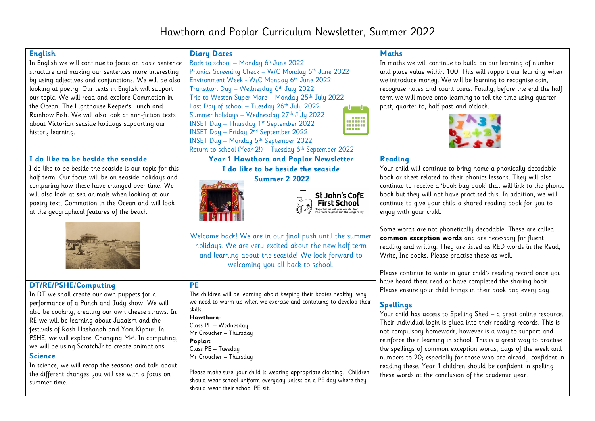## Hawthorn and Poplar Curriculum Newsletter, Summer 2022

| <b>English</b><br>In English we will continue to focus on basic sentence<br>structure and making our sentences more interesting<br>by using adjectives and conjunctions. We will be also<br>looking at poetry. Our texts in English will support<br>our topic. We will read and explore Commotion in<br>the Ocean, The Lighthouse Keeper's Lunch and<br>Rainbow Fish. We will also look at non-fiction texts<br>about Victorian seaside holidays supporting our<br>history learning.                           | <b>Diary Dates</b><br>Back to school - Monday 6 <sup>h</sup> June 2022<br>Phonics Screening Check - W/C Monday 6th June 2022<br>Environment Week - W/C Monday 6th June 2022<br>Transition Day - Wednesday 6th July 2022<br>Trip to Weston-Super-Mare - Monday 25th July 2022<br>Last Day of school - Tuesday 26th July 2022<br>ם ט<br>Summer holidays - Wednesday 27th July 2022<br><b><i><u>BREES</u></i></b><br><br>INSET Day - Thursday 1st September 2022<br><br>.<br>INSET Day - Friday 2 <sup>nd</sup> September 2022<br><b>INSET Day - Monday 5th September 2022</b><br>Return to school (Year 2!) - Tuesday 6 <sup>th</sup> September 2022 | <b>Maths</b><br>In maths we will continue to build on our learning of number<br>and place value within 100. This will support our learning when<br>we introduce money. We will be learning to recognise coin,<br>recognise notes and count coins. Finally, before the end the half<br>term we will move onto learning to tell the time using quarter<br>past, quarter to, half past and o'clock.                                                                                                                                                                |
|----------------------------------------------------------------------------------------------------------------------------------------------------------------------------------------------------------------------------------------------------------------------------------------------------------------------------------------------------------------------------------------------------------------------------------------------------------------------------------------------------------------|----------------------------------------------------------------------------------------------------------------------------------------------------------------------------------------------------------------------------------------------------------------------------------------------------------------------------------------------------------------------------------------------------------------------------------------------------------------------------------------------------------------------------------------------------------------------------------------------------------------------------------------------------|-----------------------------------------------------------------------------------------------------------------------------------------------------------------------------------------------------------------------------------------------------------------------------------------------------------------------------------------------------------------------------------------------------------------------------------------------------------------------------------------------------------------------------------------------------------------|
| I do like to be beside the seaside                                                                                                                                                                                                                                                                                                                                                                                                                                                                             | Year 1 Hawthorn and Poplar Newsletter                                                                                                                                                                                                                                                                                                                                                                                                                                                                                                                                                                                                              | Reading                                                                                                                                                                                                                                                                                                                                                                                                                                                                                                                                                         |
| I do like to be beside the seaside is our topic for this<br>half term. Our focus will be on seaside holidays and<br>comparing how these have changed over time. We<br>will also look at sea animals when looking at our<br>poetry text, Commotion in the Ocean and will look<br>at the geographical features of the beach.                                                                                                                                                                                     | I do like to be beside the seaside<br><b>Summer 2 2022</b><br>St John's CofE                                                                                                                                                                                                                                                                                                                                                                                                                                                                                                                                                                       | Your child will continue to bring home a phonically decodable<br>book or sheet related to their phonics lessons. They will also<br>continue to receive a 'book bag book' that will link to the phonic<br>book but they will not have practised this. In addition, we will<br>continue to give your child a shared reading book for you to<br>enjoy with your child.                                                                                                                                                                                             |
|                                                                                                                                                                                                                                                                                                                                                                                                                                                                                                                | Welcome back! We are in our final push until the summer<br>holidays. We are very excited about the new half term<br>and learning about the seaside! We look forward to<br>welcoming you all back to school.                                                                                                                                                                                                                                                                                                                                                                                                                                        | Some words are not phonetically decodable. These are called<br>common exception words and are necessary for fluent<br>reading and writing. They are listed as RED words in the Read,<br>Write, Inc books. Please practise these as well.<br>Please continue to write in your child's reading record once you                                                                                                                                                                                                                                                    |
| DT/RE/PSHE/Computing                                                                                                                                                                                                                                                                                                                                                                                                                                                                                           | <b>PE</b>                                                                                                                                                                                                                                                                                                                                                                                                                                                                                                                                                                                                                                          | have heard them read or have completed the sharing book.<br>Please ensure your child brings in their book bag every day.                                                                                                                                                                                                                                                                                                                                                                                                                                        |
| In DT we shall create our own puppets for a<br>performance of a Punch and Judy show. We will<br>also be cooking, creating our own cheese straws. In<br>RE we will be learning about Judaism and the<br>festivals of Rosh Hashanah and Yom Kippur. In<br>PSHE, we will explore 'Changing Me'. In computing,<br>we will be using ScratchJr to create animations.<br><b>Science</b><br>In science, we will recap the seasons and talk about<br>the different changes you will see with a focus on<br>summer time. | The children will be learning about keeping their bodies healthy, why<br>we need to warm up when we exercise and continuing to develop their<br>skills.<br>Hawthorn:<br>Class PE - Wednesday<br>Mr Croucher - Thursday<br>Poplar:<br>Class PE - Tuesday<br>Mr Croucher - Thursday<br>Please make sure your child is wearing appropriate clothing. Children<br>should wear school uniform everyday unless on a PE day where they<br>should wear their school PE kit.                                                                                                                                                                                | <b>Spellings</b><br>Your child has access to Spelling Shed $-$ a great online resource.<br>Their individual login is glued into their reading records. This is<br>not compulsory homework, however is a way to support and<br>reinforce their learning in school. This is a great way to practise<br>the spellings of common exception words, days of the week and<br>numbers to 20; especially for those who are already confident in<br>reading these. Year 1 children should be confident in spelling<br>these words at the conclusion of the academic year. |